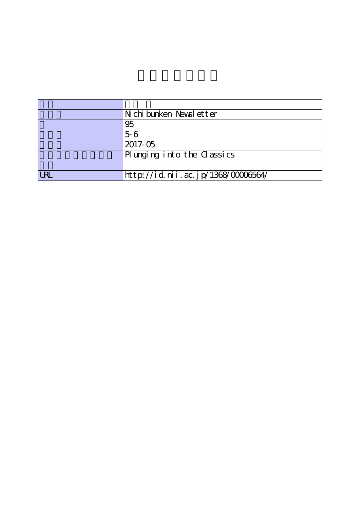|            | Nichibunken Newsletter             |
|------------|------------------------------------|
|            | 95                                 |
|            | $5-6$                              |
|            | $2017 - 05$                        |
|            | Plunging into the Classics         |
|            |                                    |
| <b>URL</b> | http://id.nii.ac.jp/1368/00006564/ |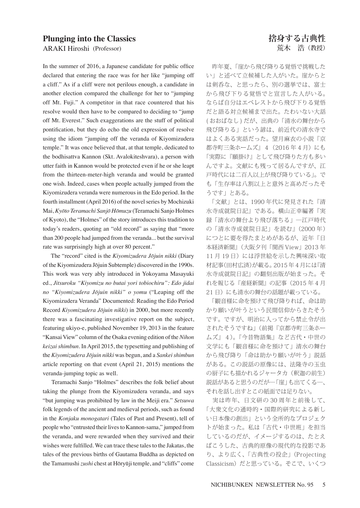## **Plunging into the Classics**

ARAKI Hiroshi (Professor)

In the summer of 2016, a Japanese candidate for public office declared that entering the race was for her like "jumping off a cliff." As if a cliff were not perilous enough, a candidate in another election compared the challenge for her to "jumping off Mt. Fuji." A competitor in that race countered that his resolve would then have to be compared to deciding to "jump off Mt. Everest." Such exaggerations are the stuff of political pontification, but they do echo the old expression of resolve using the idiom "jumping off the veranda of Kiyomizudera temple." It was once believed that, at that temple, dedicated to the bodhisattva Kannon (Skt. Avalokiteshvara), a person with utter faith in Kannon would be protected even if he or she leapt from the thirteen-meter-high veranda and would be granted one wish. Indeed, cases when people actually jumped from the Kiyomizudera veranda were numerous in the Edo period. In the fourth installment (April 2016) of the novel series by Mochizuki Mai, *Kyōto Teramachi Sanjō Hōmuzu* (Teramachi Sanjo Holmes of Kyoto), the "Holmes" of the story introduces this tradition to today's readers, quoting an "old record" as saying that "more than 200 people had jumped from the veranda... but the survival rate was surprisingly high at over 80 percent."

 The "record" cited is the *Kiyomizudera Jōjuin nikki* (Diary of the Kiyomizudera Jōjuin Subtemple) discovered in the 1990s. This work was very ably introduced in Yokoyama Masayuki ed., *Jitsuroku "Kiyomizu no butai yori tobiochiru": Edo jidai no "Kiyomizudera Jōjuin nikki" o yomu* ("Leaping off the Kiyomizudera Veranda" Documented: Reading the Edo Period Record *Kiyomizudera Jōjuin nikki*) in 2000, but more recently there was a fascinating investigative report on the subject, featuring ukiyo-e, published November 19, 2013 in the feature "Kansai View" column of the Osaka evening edition of the *Nihon keizai shimbun*. In April 2015, the typesetting and publishing of the *Kiyomizudera Jōjuin nikki* was begun, and a *Sankei shimbun* article reporting on that event (April 21, 2015) mentions the veranda-jumping topic as well.

 Teramachi Sanjo "Holmes" describes the folk belief about taking the plunge from the Kiyomizudera veranda, and says "but jumping was prohibited by law in the Meiji era." *Setsuwa*  folk legends of the ancient and medieval periods, such as found in the *Konjaku monogatari* (Tales of Past and Present), tell of people who "entrusted their lives to Kannon-sama," jumped from the veranda, and were rewarded when they survived and their wishes were fulfilled. We can trace these tales to the Jakatas, the tales of the previous births of Gautama Buddha as depicted on the Tamamushi *zushi* chest at Hōryūji temple, and "cliffs" come

 昨年夏、「崖から飛び降りる覚悟で挑戦した い」と述べて立候補した人がいた。崖からと は剣呑な、と思ったら、別の選挙では、富士 から飛び下りる覚悟でと宣言した人がいる。 ならば自分はエベレストから飛び下りる覚悟 だと語る対立候補まで出た。たわいない大話 (おおばなし)だが、出典の「清水の舞台から 飛び降りる」という諺は、前近代の清水寺で はよくある実話だった。望月麻衣の小説『京 都寺町三条ホームズ』 4 (2016年4月)にも 「実際に『願掛け』として飛び降りた方も多い んですよ。文献にも残って居るんですが、江 戸時代には二百人以上が飛び降りている」。で も「生存率は八割以上と意外と高めだったそ うです」とある。

 「文献」とは、1990 年代に発見された『清 水寺成就院日記』である。横山正幸編著『実 録「清水の舞台より飛び落ちる」―江戸時代 の「清水寺成就院日記」を読む』(2000 年) につとに要を得たまとめがあるが、近年『日 本経済新聞』(大阪夕刊「関西 View」2013 年 11月19日)には浮世絵を示した興味深い取 材記事(田村広済)が載る。2015 年 4 月には『清 水寺成就院日記』の翻刻出版が始まった。そ れを報じる『産経新聞』の記事(2015 年 4 月 21日)にも清水の舞台の話題が載っている。

 「観音様に命を預けて飛び降りれば、命は助 かり願いが叶うという民間信仰からきたそう です。ですが、明治に入ってから禁止令が出 されたそうですね」(前掲『京都寺町三条ホー ムズ』4)。『今昔物語集』など古代・中世の 文学にも「観音様に命を預けて」清水の舞台 から飛び降り「命は助かり願いが叶う」説話 がある。この説話の原像には、法隆寺の玉虫 の厨子にも描かれるジャータカ(釈迦の前生) 説話があると思うのだが―「崖」も出てくる―、 それを話し出すとこの紙面では足りない。

 実は昨年、日文研の 30 周年と前後して、 「大衆文化の通時的・国際的研究による新し い日本像の創出」という全所的なプロジェク トが始まった。私は「古代・中世班」を担当 しているのだが、イメージするのは、たとえ ばこうした、古典的原像の現代的な投影であ り、より広く、「古典性の投企」(Projecting Classicism)だと思っている。そこで、いくつ